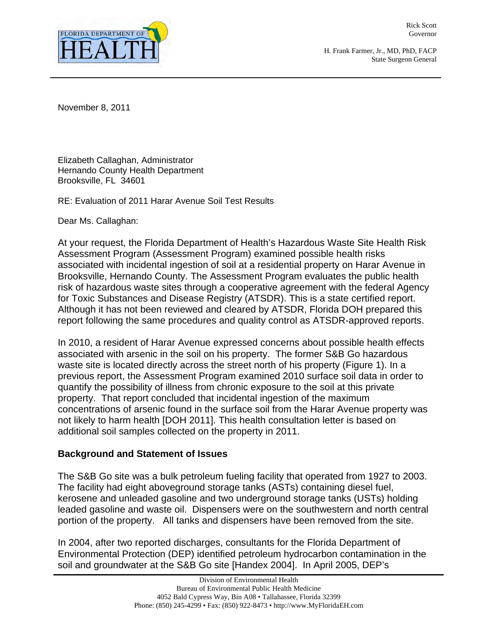

Rick Scott Governor

H. Frank Farmer, Jr., MD, PhD, FACP State Surgeon General

November 8, 2011

Elizabeth Callaghan, Administrator Hernando County Health Department Brooksville, FL 34601

RE: Evaluation of 2011 Harar Avenue Soil Test Results

Dear Ms. Callaghan:

At your request, the Florida Department of Health's Hazardous Waste Site Health Risk Assessment Program (Assessment Program) examined possible health risks associated with incidental ingestion of soil at a residential property on Harar Avenue in Brooksville, Hernando County. The Assessment Program evaluates the public health risk of hazardous waste sites through a cooperative agreement with the federal Agency for Toxic Substances and Disease Registry (ATSDR). This is a state certified report. Although it has not been reviewed and cleared by ATSDR, Florida DOH prepared this report following the same procedures and quality control as ATSDR-approved reports.

In 2010, a resident of Harar Avenue expressed concerns about possible health effects associated with arsenic in the soil on his property. The former S&B Go hazardous waste site is located directly across the street north of his property (Figure 1). In a previous report, the Assessment Program examined 2010 surface soil data in order to quantify the possibility of illness from chronic exposure to the soil at this private property. That report concluded that incidental ingestion of the maximum concentrations of arsenic found in the surface soil from the Harar Avenue property was not likely to harm health [DOH 2011]. This health consultation letter is based on additional soil samples collected on the property in 2011.

#### **Background and Statement of Issues**

The S&B Go site was a bulk petroleum fueling facility that operated from 1927 to 2003. The facility had eight aboveground storage tanks (ASTs) containing diesel fuel, kerosene and unleaded gasoline and two underground storage tanks (USTs) holding leaded gasoline and waste oil. Dispensers were on the southwestern and north central portion of the property. All tanks and dispensers have been removed from the site.

In 2004, after two reported discharges, consultants for the Florida Department of Environmental Protection (DEP) identified petroleum hydrocarbon contamination in the soil and groundwater at the S&B Go site [Handex 2004]. In April 2005, DEP's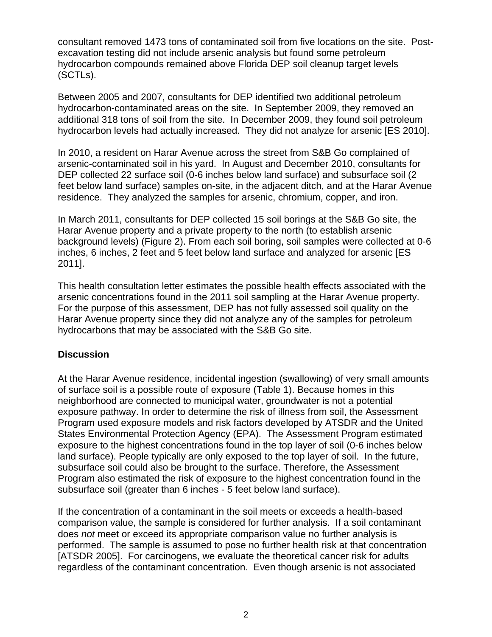consultant removed 1473 tons of contaminated soil from five locations on the site. Postexcavation testing did not include arsenic analysis but found some petroleum hydrocarbon compounds remained above Florida DEP soil cleanup target levels (SCTLs).

Between 2005 and 2007, consultants for DEP identified two additional petroleum hydrocarbon-contaminated areas on the site. In September 2009, they removed an additional 318 tons of soil from the site. In December 2009, they found soil petroleum hydrocarbon levels had actually increased. They did not analyze for arsenic [ES 2010].

In 2010, a resident on Harar Avenue across the street from S&B Go complained of arsenic-contaminated soil in his yard. In August and December 2010, consultants for DEP collected 22 surface soil (0-6 inches below land surface) and subsurface soil (2 feet below land surface) samples on-site, in the adjacent ditch, and at the Harar Avenue residence. They analyzed the samples for arsenic, chromium, copper, and iron.

In March 2011, consultants for DEP collected 15 soil borings at the S&B Go site, the Harar Avenue property and a private property to the north (to establish arsenic background levels) (Figure 2). From each soil boring, soil samples were collected at 0-6 inches, 6 inches, 2 feet and 5 feet below land surface and analyzed for arsenic [ES 2011].

This health consultation letter estimates the possible health effects associated with the arsenic concentrations found in the 2011 soil sampling at the Harar Avenue property. For the purpose of this assessment, DEP has not fully assessed soil quality on the Harar Avenue property since they did not analyze any of the samples for petroleum hydrocarbons that may be associated with the S&B Go site.

#### **Discussion**

At the Harar Avenue residence, incidental ingestion (swallowing) of very small amounts of surface soil is a possible route of exposure (Table 1). Because homes in this neighborhood are connected to municipal water, groundwater is not a potential exposure pathway. In order to determine the risk of illness from soil, the Assessment Program used exposure models and risk factors developed by ATSDR and the United States Environmental Protection Agency (EPA). The Assessment Program estimated exposure to the highest concentrations found in the top layer of soil (0-6 inches below land surface). People typically are only exposed to the top layer of soil. In the future, subsurface soil could also be brought to the surface. Therefore, the Assessment Program also estimated the risk of exposure to the highest concentration found in the subsurface soil (greater than 6 inches - 5 feet below land surface).

If the concentration of a contaminant in the soil meets or exceeds a health-based comparison value, the sample is considered for further analysis. If a soil contaminant does *not* meet or exceed its appropriate comparison value no further analysis is performed. The sample is assumed to pose no further health risk at that concentration [ATSDR 2005]. For carcinogens, we evaluate the theoretical cancer risk for adults regardless of the contaminant concentration. Even though arsenic is not associated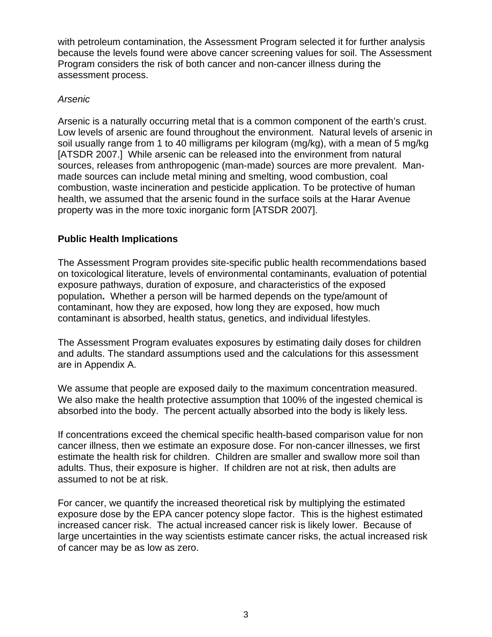with petroleum contamination, the Assessment Program selected it for further analysis because the levels found were above cancer screening values for soil. The Assessment Program considers the risk of both cancer and non-cancer illness during the assessment process.

#### *Arsenic*

Arsenic is a naturally occurring metal that is a common component of the earth's crust. Low levels of arsenic are found throughout the environment. Natural levels of arsenic in soil usually range from 1 to 40 milligrams per kilogram (mg/kg), with a mean of 5 mg/kg [ATSDR 2007.] While arsenic can be released into the environment from natural sources, releases from anthropogenic (man-made) sources are more prevalent. Manmade sources can include metal mining and smelting, wood combustion, coal combustion, waste incineration and pesticide application. To be protective of human health, we assumed that the arsenic found in the surface soils at the Harar Avenue property was in the more toxic inorganic form [ATSDR 2007].

## **Public Health Implications**

The Assessment Program provides site-specific public health recommendations based on toxicological literature, levels of environmental contaminants, evaluation of potential exposure pathways, duration of exposure, and characteristics of the exposed population**.** Whether a person will be harmed depends on the type/amount of contaminant, how they are exposed, how long they are exposed, how much contaminant is absorbed, health status, genetics, and individual lifestyles.

The Assessment Program evaluates exposures by estimating daily doses for children and adults. The standard assumptions used and the calculations for this assessment are in Appendix A.

We assume that people are exposed daily to the maximum concentration measured. We also make the health protective assumption that 100% of the ingested chemical is absorbed into the body. The percent actually absorbed into the body is likely less.

If concentrations exceed the chemical specific health-based comparison value for non cancer illness, then we estimate an exposure dose. For non-cancer illnesses, we first estimate the health risk for children. Children are smaller and swallow more soil than adults. Thus, their exposure is higher. If children are not at risk, then adults are assumed to not be at risk.

For cancer, we quantify the increased theoretical risk by multiplying the estimated exposure dose by the EPA cancer potency slope factor. This is the highest estimated increased cancer risk. The actual increased cancer risk is likely lower. Because of large uncertainties in the way scientists estimate cancer risks, the actual increased risk of cancer may be as low as zero.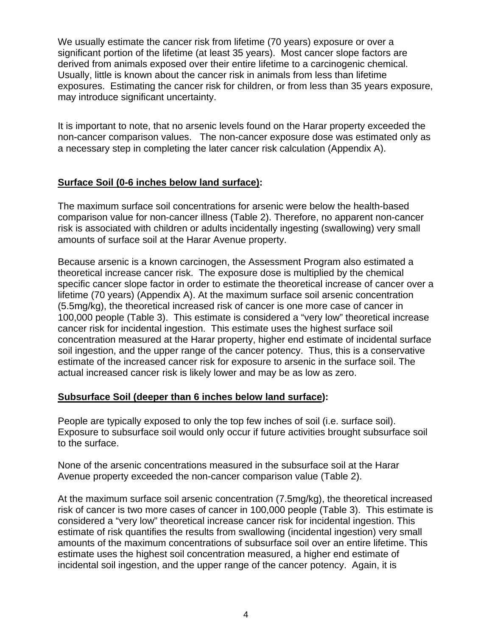We usually estimate the cancer risk from lifetime (70 years) exposure or over a significant portion of the lifetime (at least 35 years). Most cancer slope factors are derived from animals exposed over their entire lifetime to a carcinogenic chemical. Usually, little is known about the cancer risk in animals from less than lifetime exposures. Estimating the cancer risk for children, or from less than 35 years exposure, may introduce significant uncertainty.

It is important to note, that no arsenic levels found on the Harar property exceeded the non-cancer comparison values. The non-cancer exposure dose was estimated only as a necessary step in completing the later cancer risk calculation (Appendix A).

## **Surface Soil (0-6 inches below land surface):**

The maximum surface soil concentrations for arsenic were below the health-based comparison value for non-cancer illness (Table 2). Therefore, no apparent non-cancer risk is associated with children or adults incidentally ingesting (swallowing) very small amounts of surface soil at the Harar Avenue property.

Because arsenic is a known carcinogen, the Assessment Program also estimated a theoretical increase cancer risk. The exposure dose is multiplied by the chemical specific cancer slope factor in order to estimate the theoretical increase of cancer over a lifetime (70 years) (Appendix A). At the maximum surface soil arsenic concentration (5.5mg/kg), the theoretical increased risk of cancer is one more case of cancer in 100,000 people (Table 3). This estimate is considered a "very low" theoretical increase cancer risk for incidental ingestion. This estimate uses the highest surface soil concentration measured at the Harar property, higher end estimate of incidental surface soil ingestion, and the upper range of the cancer potency. Thus, this is a conservative estimate of the increased cancer risk for exposure to arsenic in the surface soil. The actual increased cancer risk is likely lower and may be as low as zero.

## **Subsurface Soil (deeper than 6 inches below land surface):**

People are typically exposed to only the top few inches of soil (i.e. surface soil). Exposure to subsurface soil would only occur if future activities brought subsurface soil to the surface.

None of the arsenic concentrations measured in the subsurface soil at the Harar Avenue property exceeded the non-cancer comparison value (Table 2).

At the maximum surface soil arsenic concentration (7.5mg/kg), the theoretical increased risk of cancer is two more cases of cancer in 100,000 people (Table 3). This estimate is considered a "very low" theoretical increase cancer risk for incidental ingestion. This estimate of risk quantifies the results from swallowing (incidental ingestion) very small amounts of the maximum concentrations of subsurface soil over an entire lifetime. This estimate uses the highest soil concentration measured, a higher end estimate of incidental soil ingestion, and the upper range of the cancer potency. Again, it is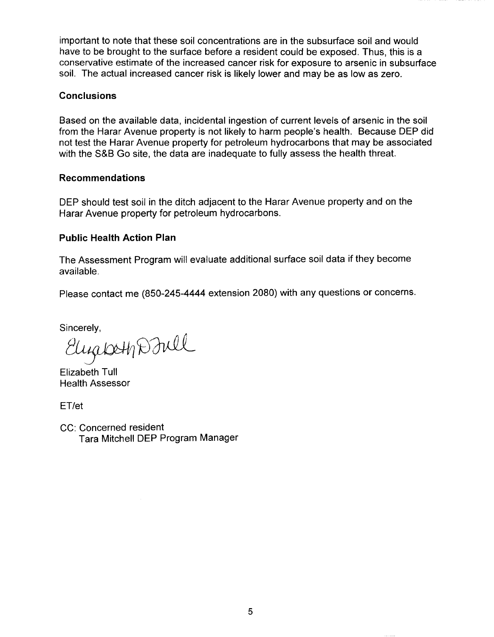important to note that these soil concentrations are in the subsurface soil and would have to be brought to the surface before a resident could be exposed. Thus, this is a conservative estimate of the increased cancer risk for exposure to arsenic in subsurface soil. The actual increased cancer risk is likely lower and may be as low as zero.

#### **Conclusions**

Based on the available data, incidental ingestion of current levels of arsenic in the soil from the Harar Avenue property is not likely to harm people's health. Because DEP did not test the Harar Avenue property for petroleum hydrocarbons that may be associated with the S&B Go site, the data are inadequate to fully assess the health threat.

#### **Recommendations**

DEP should test soil in the ditch adjacent to the Harar Avenue property and on the Harar Avenue property for petroleum hydrocarbons.

## **Public Health Action Plan**

The Assessment Program will evaluate additional surface soil data if they become available.

Please contact me (850-245-4444 extension 2080) with any questions or concerns.

Sincerely,

Elugio 41 D Jull

Elizabeth Tull Health Assessor

ET/et

CC: Concerned resident Tara Mitchell DEP Program Manager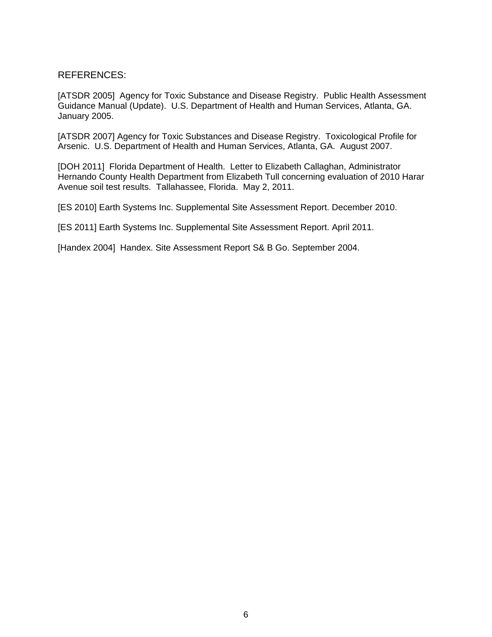#### REFERENCES:

[ATSDR 2005] Agency for Toxic Substance and Disease Registry. Public Health Assessment Guidance Manual (Update). U.S. Department of Health and Human Services, Atlanta, GA. January 2005.

[ATSDR 2007] Agency for Toxic Substances and Disease Registry. Toxicological Profile for Arsenic. U.S. Department of Health and Human Services, Atlanta, GA. August 2007.

[DOH 2011] Florida Department of Health. Letter to Elizabeth Callaghan, Administrator Hernando County Health Department from Elizabeth Tull concerning evaluation of 2010 Harar Avenue soil test results. Tallahassee, Florida. May 2, 2011.

[ES 2010] Earth Systems Inc. Supplemental Site Assessment Report. December 2010.

[ES 2011] Earth Systems Inc. Supplemental Site Assessment Report. April 2011.

[Handex 2004] Handex. Site Assessment Report S& B Go. September 2004.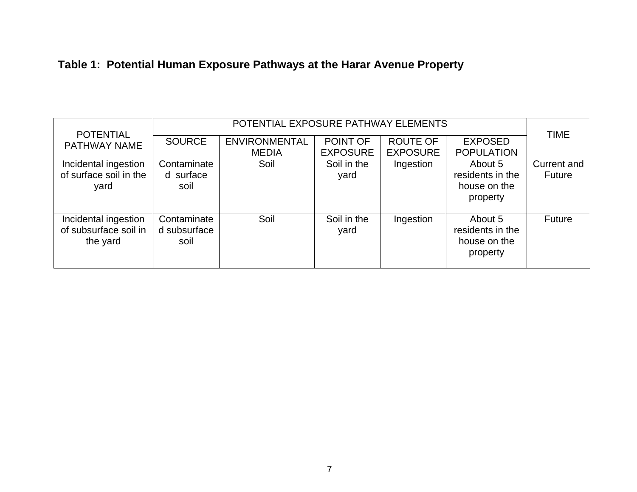| Table 1: Potential Human Exposure Pathways at the Harar Avenue Property |
|-------------------------------------------------------------------------|
|-------------------------------------------------------------------------|

|                                         | POTENTIAL EXPOSURE PATHWAY ELEMENTS |                      |                 |                 |                   |               |
|-----------------------------------------|-------------------------------------|----------------------|-----------------|-----------------|-------------------|---------------|
| <b>POTENTIAL</b><br><b>PATHWAY NAME</b> | <b>SOURCE</b>                       | <b>ENVIRONMENTAL</b> | POINT OF        | <b>ROUTE OF</b> | <b>EXPOSED</b>    | <b>TIME</b>   |
|                                         |                                     | <b>MEDIA</b>         | <b>EXPOSURE</b> | <b>EXPOSURE</b> | <b>POPULATION</b> |               |
| Incidental ingestion                    | Contaminate                         | Soil                 | Soil in the     | Ingestion       | About 5           | Current and   |
| of surface soil in the                  | d surface                           |                      | yard            |                 | residents in the  | <b>Future</b> |
| yard                                    | soil                                |                      |                 |                 | house on the      |               |
|                                         |                                     |                      |                 |                 | property          |               |
|                                         |                                     |                      |                 |                 |                   |               |
| Incidental ingestion                    | Contaminate                         | Soil                 | Soil in the     | Ingestion       | About 5           | <b>Future</b> |
| of subsurface soil in                   | d subsurface                        |                      | yard            |                 | residents in the  |               |
| the yard                                | soil                                |                      |                 |                 | house on the      |               |
|                                         |                                     |                      |                 |                 | property          |               |
|                                         |                                     |                      |                 |                 |                   |               |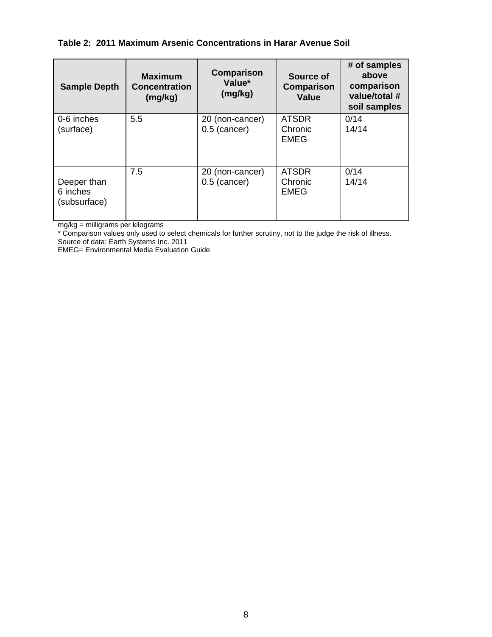#### **Table 2: 2011 Maximum Arsenic Concentrations in Harar Avenue Soil**

| <b>Sample Depth</b>                     | <b>Maximum</b><br><b>Concentration</b><br>(mg/kg) | Comparison<br>Value*<br>(mg/kg)   | Source of<br>Comparison<br><b>Value</b> | # of samples<br>above<br>comparison<br>value/total #<br>soil samples |
|-----------------------------------------|---------------------------------------------------|-----------------------------------|-----------------------------------------|----------------------------------------------------------------------|
| 0-6 inches<br>(surface)                 | 5.5                                               | 20 (non-cancer)<br>$0.5$ (cancer) | <b>ATSDR</b><br>Chronic<br><b>EMEG</b>  | 0/14<br>14/14                                                        |
| Deeper than<br>6 inches<br>(subsurface) | 7.5                                               | 20 (non-cancer)<br>$0.5$ (cancer) | <b>ATSDR</b><br>Chronic<br><b>EMEG</b>  | 0/14<br>14/14                                                        |

mg/kg = milligrams per kilograms

\* Comparison values only used to select chemicals for further scrutiny, not to the judge the risk of illness.

Source of data: Earth Systems Inc. 2011

EMEG= Environmental Media Evaluation Guide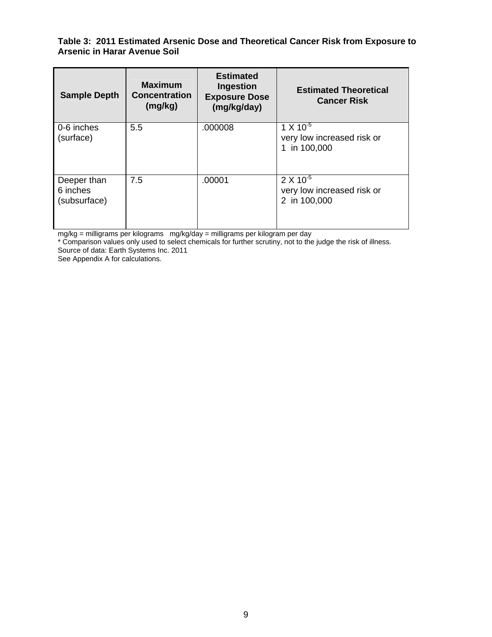#### **Table 3: 2011 Estimated Arsenic Dose and Theoretical Cancer Risk from Exposure to Arsenic in Harar Avenue Soil**

| <b>Sample Depth</b>                     | <b>Maximum</b><br><b>Concentration</b><br>(mg/kg) | <b>Estimated</b><br>Ingestion<br><b>Exposure Dose</b><br>(mg/kg/day) | <b>Estimated Theoretical</b><br><b>Cancer Risk</b>               |
|-----------------------------------------|---------------------------------------------------|----------------------------------------------------------------------|------------------------------------------------------------------|
| 0-6 inches<br>(surface)                 | 5.5                                               | .000008                                                              | $1 X 10^{-5}$<br>very low increased risk or<br>1 in 100,000      |
| Deeper than<br>6 inches<br>(subsurface) | 7.5                                               | .00001                                                               | $2 \times 10^{-5}$<br>very low increased risk or<br>2 in 100,000 |

mg/kg = milligrams per kilograms mg/kg/day = milligrams per kilogram per day

\* Comparison values only used to select chemicals for further scrutiny, not to the judge the risk of illness.

Source of data: Earth Systems Inc. 2011

See Appendix A for calculations.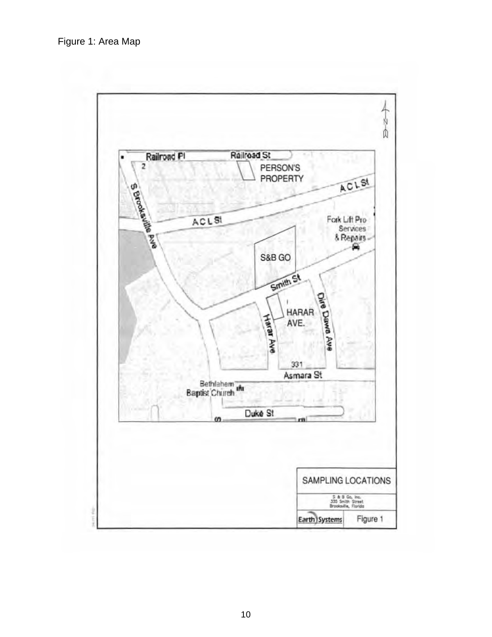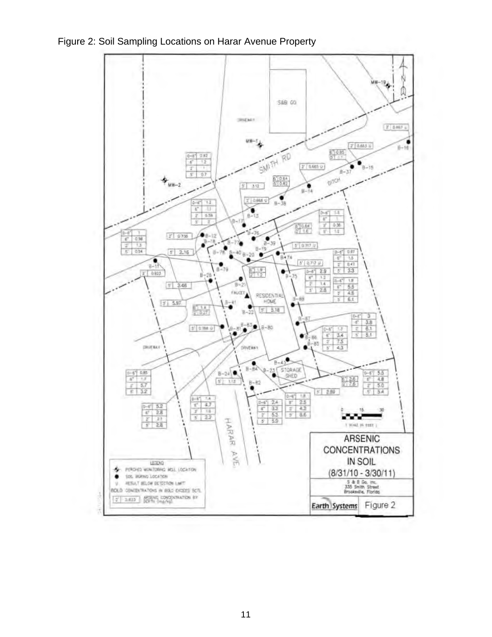

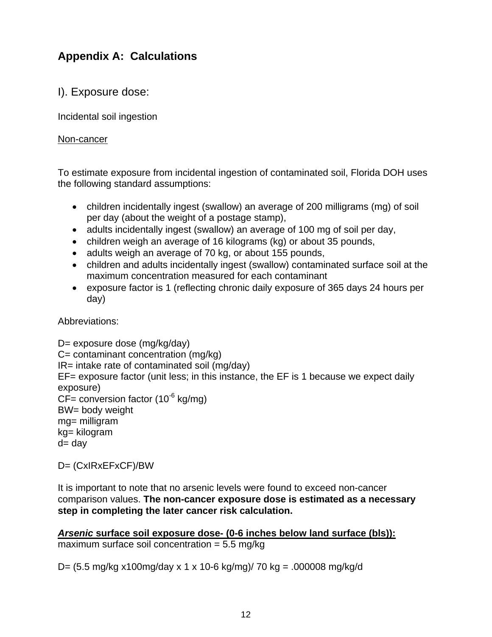# **Appendix A: Calculations**

I). Exposure dose:

Incidental soil ingestion

#### Non-cancer

To estimate exposure from incidental ingestion of contaminated soil, Florida DOH uses the following standard assumptions:

- children incidentally ingest (swallow) an average of 200 milligrams (mg) of soil per day (about the weight of a postage stamp),
- adults incidentally ingest (swallow) an average of 100 mg of soil per day,
- children weigh an average of 16 kilograms (kg) or about 35 pounds,
- adults weigh an average of 70 kg, or about 155 pounds,
- children and adults incidentally ingest (swallow) contaminated surface soil at the maximum concentration measured for each contaminant
- exposure factor is 1 (reflecting chronic daily exposure of 365 days 24 hours per day)

Abbreviations:

```
D= exposure dose (mg/kg/day) 
C= contaminant concentration (mg/kg) 
IR= intake rate of contaminated soil (mg/day) 
EF= exposure factor (unit less; in this instance, the EF is 1 because we expect daily 
exposure) 
CF = conversion factor (10<sup>-6</sup> kg/mg)
BW= body weight 
mg= milligram 
kg= kilogram 
d = day
```
D= (CxIRxEFxCF)/BW

It is important to note that no arsenic levels were found to exceed non-cancer comparison values. **The non-cancer exposure dose is estimated as a necessary step in completing the later cancer risk calculation.** 

*Arsenic* **surface soil exposure dose- (0-6 inches below land surface (bls)):**  maximum surface soil concentration  $= 5.5$  mg/kg

D= (5.5 mg/kg x100mg/day x 1 x 10-6 kg/mg)/ 70 kg = .000008 mg/kg/d